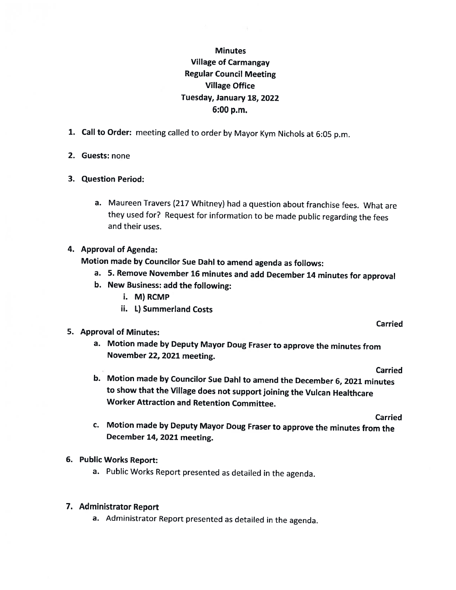# **Minutes** Village of Carmangay Regular Council Meeting Village Office Tuesday, January 18, 2022 6:00 p.m.

- 1. Call to Order: meeting called to order by Mayor Kym Nichols at 6:05 p.m.
- 2. Guests: none
- 3. Question Period:
	- a. Maureen Travers (217 Whitney) had <sup>a</sup> question about franchise fees. What are they used for? Request for information to be made public regarding the fees and their uses.

## 4. Approval of Agenda:

Motion made by Councilor Sue Dahl to amend agenda as follows:

- a. 5. Remove November <sup>16</sup> minutes and add December <sup>14</sup> minutes for approval
- b. New Business: add the following:
	- i. M) RCMP
	- ii. 1) Summerland Costs

# 5. Approval of Minutes:

a. Motion made by Deputy Mayor Doug Fraser to approve the minutes from November 22, <sup>2021</sup> meeting.

Carried

Carried

b. Motion made by Councilor Sue DahI to amend the December 6, <sup>2021</sup> minutes to show that the Village does not support joining the Vulcan Healthcare Worker Attraction and Retention Committee.

Carried

- c. Motion made by Deputy Mayor Doug Fraser to approve the minutes from the December 14, <sup>2021</sup> meeting.
- 6. Public Works Report:
	- a. Public Works Report presented as detailed in the agenda.

# 7. Administrator Report

a. Administrator Report presented as detailed in the agenda.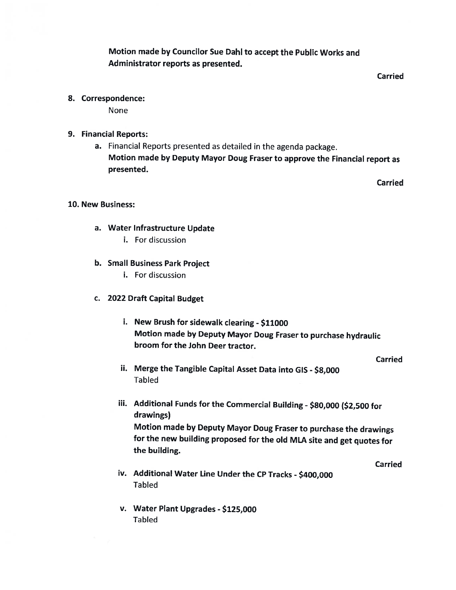Motion made by Councilor Sue DahI to accept the Public Works and Administrator reports as presented.

Carried

8. Correspondence:

None

- 9. Financial Reports:
	- a. Financial Reports presented as detailed in the agenda package. Motion made by Deputy Mayor Doug Fraser to approve the Financial report as presented.

**Carried** 

#### 10. New Business:

- a. Water Infrastructure Update
	- i. For discussion
- b. Small Business Park Project
	- i. For discussion
- c. 2022 Draft Capital Budget
	- i. New Brush for sidewalk clearing \$11000 Motion made by Deputy Mayor Doug Fraser to purchase hydraulic broom for the John Deer tractor.

Carried

- ii. Merge the Tangible Capital Asset Data into GIS \$8,000 Tabled
- iii. Additional Funds for the Commercial Building \$80,000 (\$2,500 for drawings)

Motion made by Deputy Mayor Doug Fraser to purchase the drawings for the new building proposed for the old MLA site and get quotes for the building.

Carried

- iv. Additional Water Line Under the CP Tracks \$400,000 Tabled
- v. Water Plant Upgrades \$125,000 Tabled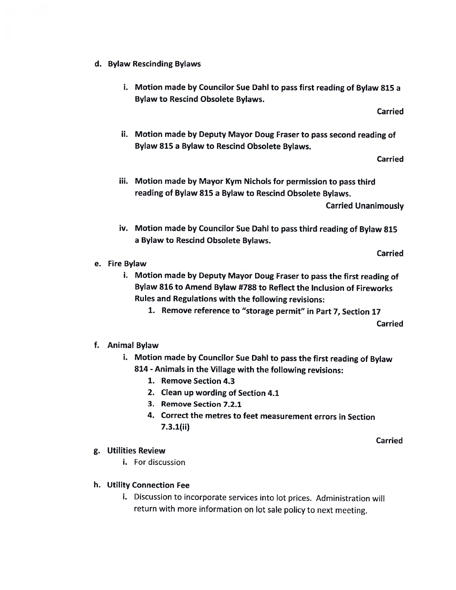- d. Bylaw Rescinding Bylaws
	- i. Motion made by Councilor Sue Dahi to pass first reading of Bylaw 815 <sup>a</sup> Bylaw to Rescind Obsolete Bylaws.

Carried

ii. Motion made by Deputy Mayor Doug Fraser to pass second reading of Bylaw 815 <sup>a</sup> Bylaw to Rescind Obsolete Bylaws.

Carried

- iii. Motion made by Mayor Kym Nichols for permission to pass third reading of Bylaw \$15 <sup>a</sup> Bylaw to Rescind Obsolete Bylaws. Carried Unanimously
- iv. Motion made by Councilor Sue DahI to pass third reading of Bylaw <sup>815</sup> <sup>a</sup> Bylaw to Rescind Obsolete Bylaws.

Carried

#### e. Fire Bylaw

- i. Motion made by Deputy Mayor Doug Fraser to pass the first reading of Bylaw 816 to Amend Bylaw #788 to Reflect the Inclusion of Fireworks Rules and Regulations with the following revisions:
	- 1. Remove reference to "storage permit" in Part 7, Section 17 Carried

## f. Animal Bylaw

- i. Motion made by Councilor Sue Dahl to pass the first reading of Bylaw \$14 -Animals in the Village with the following revisions:
	- 1. Remove Section 4.3
	- 2. Clean up wording of Section 4.1
	- 3. Remove Section 7.2.1
	- 4. Correct the metres to feet measurement errors in Section  $7.3.1$ (ii)

Carried

## g. Utilities Review

- i. For discussion
- h. Utility Connection Fee
	- i. Discussion to incorporate services into lot prices. Administration will return with more information on lot sale policy to next meeting.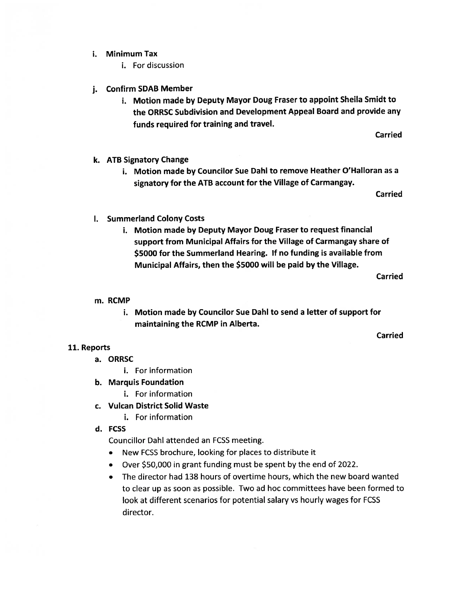- i. Minimum Tax
	- i. For discussion
- j. Confirm SDAB Member
	- i. Motion made by Deputy Mayor Doug Fraser to appoint Sheila Smidt to the ORRSC Subdivision and Development Appeal Board and provide any funds required for training and travel.

Carried

- k. ATB Signatory Change
	- i. Motion made by Councilor Sue Dahl to remove Heather O'Halloran as a signatory for the ATB account for the Village of Carmangay.

Carried

- I. Summerland Colony Costs
	- i. Motion made by Deputy Mayor Doug Fraser to request financial support from Municipal Affairs for the Village of Carmangay share of \$5000 for the Summerland Hearing. If no funding is available from Municipal Affairs, then the \$5000 will be paid by the Village.

Carried

#### m. RCMP

i. Motion made by Councilor Sue DahI to send a letter of support for maintaining the RCMP in Alberta.

Carried

## 11. Reports

- a. ORRSC
	- i. For information
- b. Marquis Foundation
	- i. For information
- c. Vulcan District Solid Waste
	- i. For information
- d. FCSS

Councillor DahI attended an FCSS meeting.

- New FCSS brochure, looking for places to distribute it
- Over \$50,000 in grant funding must be spent by the end of 2022.
- The director had 138 hours of overtime hours, which the new board wanted to clear up as soon as possible. Two ad hoc committees have been formed to look at different scenarios for potential salary vs hourly wages for FCSS director.